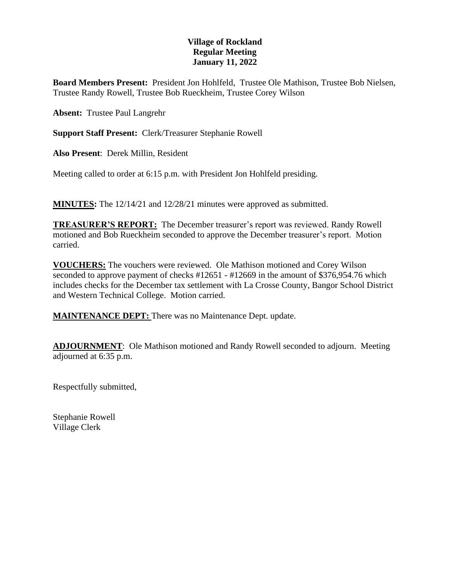## **Village of Rockland Regular Meeting January 11, 2022**

**Board Members Present:** President Jon Hohlfeld, Trustee Ole Mathison, Trustee Bob Nielsen, Trustee Randy Rowell, Trustee Bob Rueckheim, Trustee Corey Wilson

**Absent:** Trustee Paul Langrehr

**Support Staff Present:** Clerk/Treasurer Stephanie Rowell

**Also Present**: Derek Millin, Resident

Meeting called to order at 6:15 p.m. with President Jon Hohlfeld presiding.

**MINUTES:** The 12/14/21 and 12/28/21 minutes were approved as submitted.

**TREASURER'S REPORT:** The December treasurer's report was reviewed. Randy Rowell motioned and Bob Rueckheim seconded to approve the December treasurer's report. Motion carried.

**VOUCHERS:** The vouchers were reviewed. Ole Mathison motioned and Corey Wilson seconded to approve payment of checks #12651 - #12669 in the amount of \$376,954.76 which includes checks for the December tax settlement with La Crosse County, Bangor School District and Western Technical College. Motion carried.

**MAINTENANCE DEPT:** There was no Maintenance Dept. update.

**ADJOURNMENT**: Ole Mathison motioned and Randy Rowell seconded to adjourn. Meeting adjourned at 6:35 p.m.

Respectfully submitted,

Stephanie Rowell Village Clerk